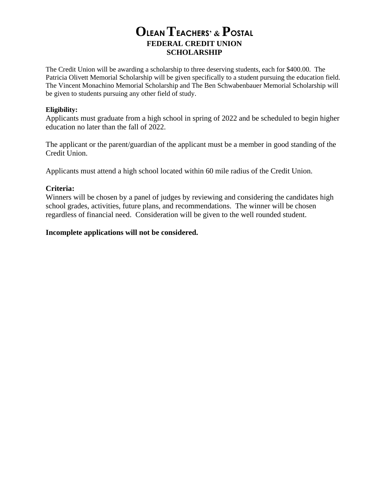## **OLEAN TEACHERS' & POSTAL FEDERAL CREDIT UNION SCHOLARSHIP**

The Credit Union will be awarding a scholarship to three deserving students, each for \$400.00. The Patricia Olivett Memorial Scholarship will be given specifically to a student pursuing the education field. The Vincent Monachino Memorial Scholarship and The Ben Schwabenbauer Memorial Scholarship will be given to students pursuing any other field of study.

#### **Eligibility:**

Applicants must graduate from a high school in spring of 2022 and be scheduled to begin higher education no later than the fall of 2022.

The applicant or the parent/guardian of the applicant must be a member in good standing of the Credit Union.

Applicants must attend a high school located within 60 mile radius of the Credit Union.

#### **Criteria:**

Winners will be chosen by a panel of judges by reviewing and considering the candidates high school grades, activities, future plans, and recommendations. The winner will be chosen regardless of financial need. Consideration will be given to the well rounded student.

#### **Incomplete applications will not be considered.**